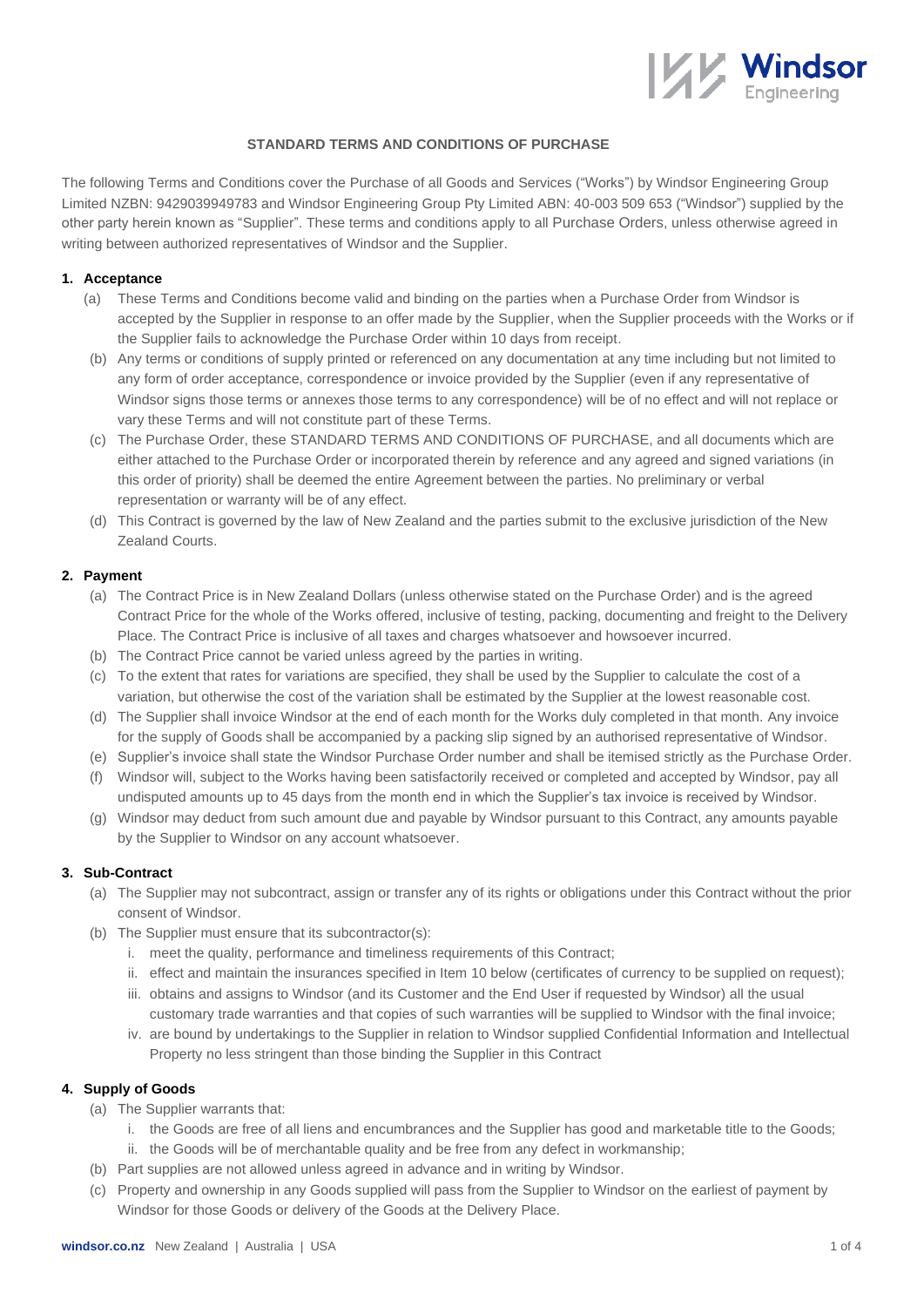

### **STANDARD TERMS AND CONDITIONS OF PURCHASE**

The following Terms and Conditions cover the Purchase of all Goods and Services ("Works") by Windsor Engineering Group Limited NZBN: 9429039949783 and Windsor Engineering Group Pty Limited ABN: 40-003 509 653 ("Windsor") supplied by the other party herein known as "Supplier". These terms and conditions apply to all Purchase Orders, unless otherwise agreed in writing between authorized representatives of Windsor and the Supplier.

### **1. Acceptance**

- (a) These Terms and Conditions become valid and binding on the parties when a Purchase Order from Windsor is accepted by the Supplier in response to an offer made by the Supplier, when the Supplier proceeds with the Works or if the Supplier fails to acknowledge the Purchase Order within 10 days from receipt.
- (b) Any terms or conditions of supply printed or referenced on any documentation at any time including but not limited to any form of order acceptance, correspondence or invoice provided by the Supplier (even if any representative of Windsor signs those terms or annexes those terms to any correspondence) will be of no effect and will not replace or vary these Terms and will not constitute part of these Terms.
- (c) The Purchase Order, these STANDARD TERMS AND CONDITIONS OF PURCHASE, and all documents which are either attached to the Purchase Order or incorporated therein by reference and any agreed and signed variations (in this order of priority) shall be deemed the entire Agreement between the parties. No preliminary or verbal representation or warranty will be of any effect.
- (d) This Contract is governed by the law of New Zealand and the parties submit to the exclusive jurisdiction of the New Zealand Courts.

### **2. Payment**

- (a) The Contract Price is in New Zealand Dollars (unless otherwise stated on the Purchase Order) and is the agreed Contract Price for the whole of the Works offered, inclusive of testing, packing, documenting and freight to the Delivery Place. The Contract Price is inclusive of all taxes and charges whatsoever and howsoever incurred.
- (b) The Contract Price cannot be varied unless agreed by the parties in writing.
- (c) To the extent that rates for variations are specified, they shall be used by the Supplier to calculate the cost of a variation, but otherwise the cost of the variation shall be estimated by the Supplier at the lowest reasonable cost.
- (d) The Supplier shall invoice Windsor at the end of each month for the Works duly completed in that month. Any invoice for the supply of Goods shall be accompanied by a packing slip signed by an authorised representative of Windsor.
- (e) Supplier's invoice shall state the Windsor Purchase Order number and shall be itemised strictly as the Purchase Order.
- (f) Windsor will, subject to the Works having been satisfactorily received or completed and accepted by Windsor, pay all undisputed amounts up to 45 days from the month end in which the Supplier's tax invoice is received by Windsor.
- (g) Windsor may deduct from such amount due and payable by Windsor pursuant to this Contract, any amounts payable by the Supplier to Windsor on any account whatsoever.

## **3. Sub-Contract**

- (a) The Supplier may not subcontract, assign or transfer any of its rights or obligations under this Contract without the prior consent of Windsor.
- (b) The Supplier must ensure that its subcontractor(s):
	- i. meet the quality, performance and timeliness requirements of this Contract;
	- ii. effect and maintain the insurances specified in Item 10 below (certificates of currency to be supplied on request);
	- iii. obtains and assigns to Windsor (and its Customer and the End User if requested by Windsor) all the usual customary trade warranties and that copies of such warranties will be supplied to Windsor with the final invoice;
	- iv. are bound by undertakings to the Supplier in relation to Windsor supplied Confidential Information and Intellectual Property no less stringent than those binding the Supplier in this Contract

### **4. Supply of Goods**

- (a) The Supplier warrants that:
	- i. the Goods are free of all liens and encumbrances and the Supplier has good and marketable title to the Goods;
	- ii. the Goods will be of merchantable quality and be free from any defect in workmanship;
- (b) Part supplies are not allowed unless agreed in advance and in writing by Windsor.
- (c) Property and ownership in any Goods supplied will pass from the Supplier to Windsor on the earliest of payment by Windsor for those Goods or delivery of the Goods at the Delivery Place.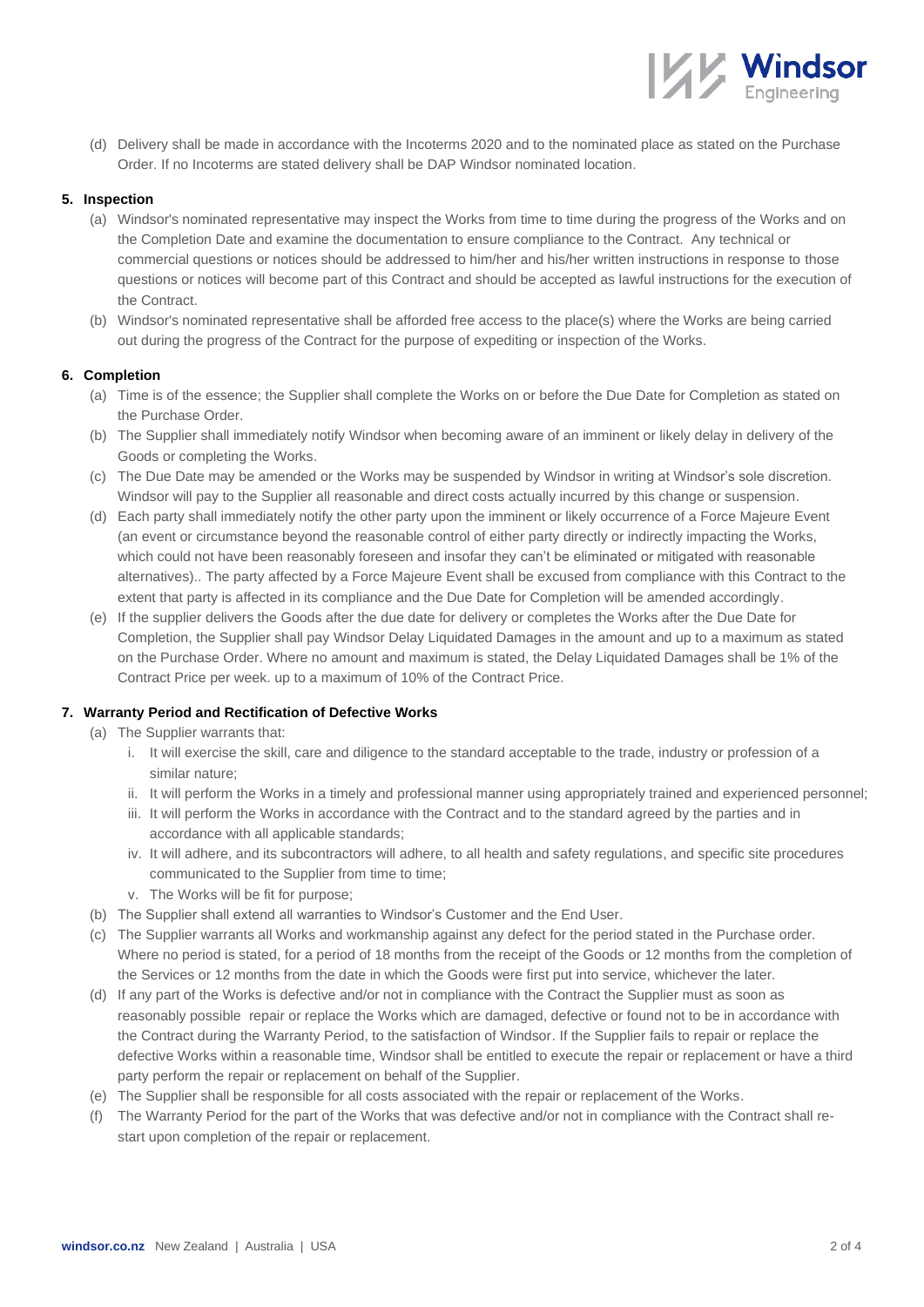(d) Delivery shall be made in accordance with the Incoterms 2020 and to the nominated place as stated on the Purchase Order. If no Incoterms are stated delivery shall be DAP Windsor nominated location.

**Mindsor** 

### **5. Inspection**

- (a) Windsor's nominated representative may inspect the Works from time to time during the progress of the Works and on the Completion Date and examine the documentation to ensure compliance to the Contract. Any technical or commercial questions or notices should be addressed to him/her and his/her written instructions in response to those questions or notices will become part of this Contract and should be accepted as lawful instructions for the execution of the Contract.
- (b) Windsor's nominated representative shall be afforded free access to the place(s) where the Works are being carried out during the progress of the Contract for the purpose of expediting or inspection of the Works.

### **6. Completion**

- (a) Time is of the essence; the Supplier shall complete the Works on or before the Due Date for Completion as stated on the Purchase Order.
- (b) The Supplier shall immediately notify Windsor when becoming aware of an imminent or likely delay in delivery of the Goods or completing the Works.
- (c) The Due Date may be amended or the Works may be suspended by Windsor in writing at Windsor's sole discretion. Windsor will pay to the Supplier all reasonable and direct costs actually incurred by this change or suspension.
- (d) Each party shall immediately notify the other party upon the imminent or likely occurrence of a Force Majeure Event (an event or circumstance beyond the reasonable control of either party directly or indirectly impacting the Works, which could not have been reasonably foreseen and insofar they can't be eliminated or mitigated with reasonable alternatives).. The party affected by a Force Majeure Event shall be excused from compliance with this Contract to the extent that party is affected in its compliance and the Due Date for Completion will be amended accordingly.
- (e) If the supplier delivers the Goods after the due date for delivery or completes the Works after the Due Date for Completion, the Supplier shall pay Windsor Delay Liquidated Damages in the amount and up to a maximum as stated on the Purchase Order. Where no amount and maximum is stated, the Delay Liquidated Damages shall be 1% of the Contract Price per week. up to a maximum of 10% of the Contract Price.

### **7. Warranty Period and Rectification of Defective Works**

- (a) The Supplier warrants that:
	- i. It will exercise the skill, care and diligence to the standard acceptable to the trade, industry or profession of a similar nature;
	- ii. It will perform the Works in a timely and professional manner using appropriately trained and experienced personnel;
	- iii. It will perform the Works in accordance with the Contract and to the standard agreed by the parties and in accordance with all applicable standards;
	- iv. It will adhere, and its subcontractors will adhere, to all health and safety regulations, and specific site procedures communicated to the Supplier from time to time;
	- v. The Works will be fit for purpose;
- (b) The Supplier shall extend all warranties to Windsor's Customer and the End User.
- (c) The Supplier warrants all Works and workmanship against any defect for the period stated in the Purchase order. Where no period is stated, for a period of 18 months from the receipt of the Goods or 12 months from the completion of the Services or 12 months from the date in which the Goods were first put into service, whichever the later.
- (d) If any part of the Works is defective and/or not in compliance with the Contract the Supplier must as soon as reasonably possible repair or replace the Works which are damaged, defective or found not to be in accordance with the Contract during the Warranty Period, to the satisfaction of Windsor. If the Supplier fails to repair or replace the defective Works within a reasonable time, Windsor shall be entitled to execute the repair or replacement or have a third party perform the repair or replacement on behalf of the Supplier.
- (e) The Supplier shall be responsible for all costs associated with the repair or replacement of the Works.
- (f) The Warranty Period for the part of the Works that was defective and/or not in compliance with the Contract shall restart upon completion of the repair or replacement.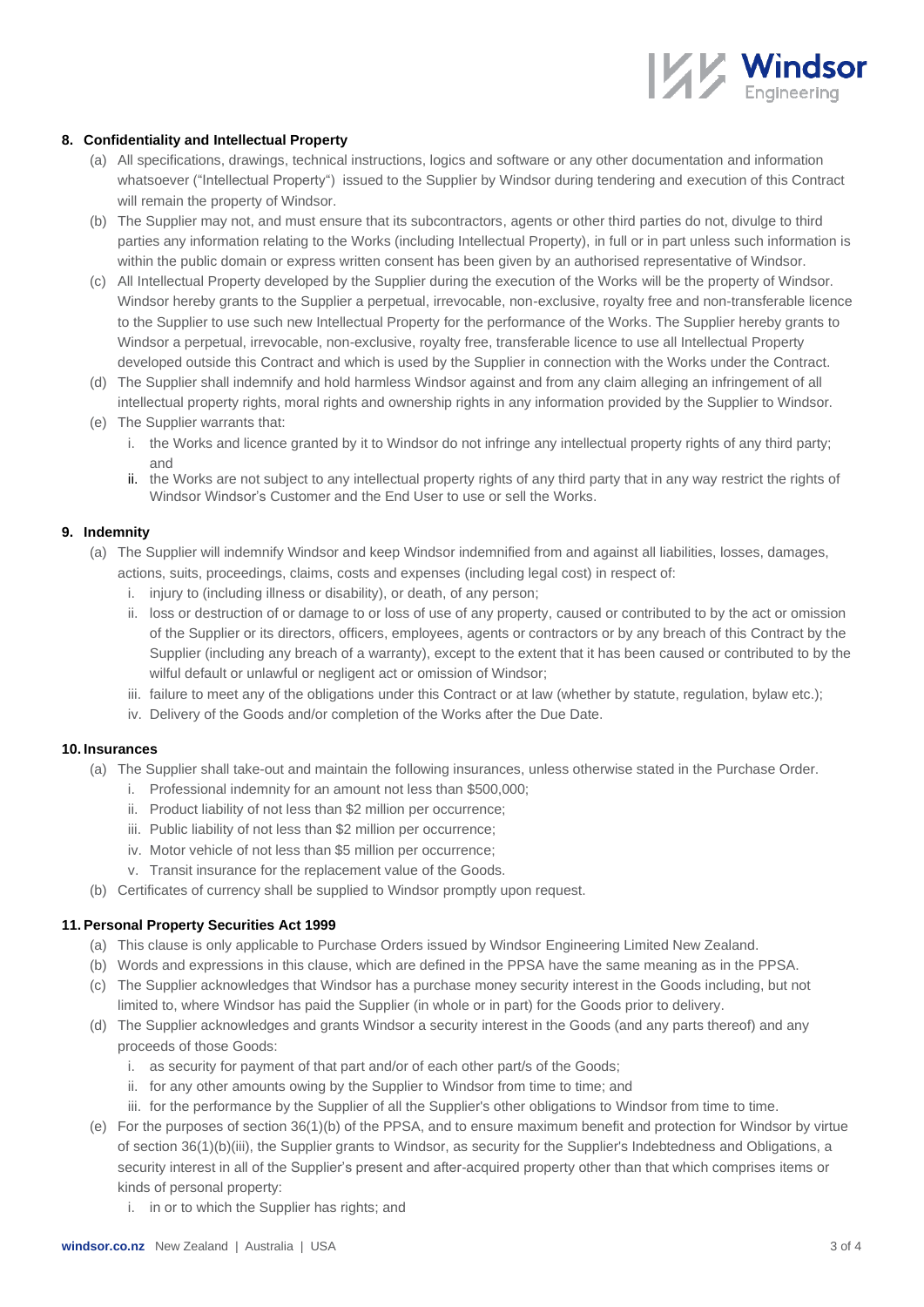

## **8. Confidentiality and Intellectual Property**

- (a) All specifications, drawings, technical instructions, logics and software or any other documentation and information whatsoever ("Intellectual Property") issued to the Supplier by Windsor during tendering and execution of this Contract will remain the property of Windsor.
- (b) The Supplier may not, and must ensure that its subcontractors, agents or other third parties do not, divulge to third parties any information relating to the Works (including Intellectual Property), in full or in part unless such information is within the public domain or express written consent has been given by an authorised representative of Windsor.
- (c) All Intellectual Property developed by the Supplier during the execution of the Works will be the property of Windsor. Windsor hereby grants to the Supplier a perpetual, irrevocable, non-exclusive, royalty free and non-transferable licence to the Supplier to use such new Intellectual Property for the performance of the Works. The Supplier hereby grants to Windsor a perpetual, irrevocable, non-exclusive, royalty free, transferable licence to use all Intellectual Property developed outside this Contract and which is used by the Supplier in connection with the Works under the Contract.
- (d) The Supplier shall indemnify and hold harmless Windsor against and from any claim alleging an infringement of all intellectual property rights, moral rights and ownership rights in any information provided by the Supplier to Windsor.
- (e) The Supplier warrants that:
	- i. the Works and licence granted by it to Windsor do not infringe any intellectual property rights of any third party; and
	- ii. the Works are not subject to any intellectual property rights of any third party that in any way restrict the rights of Windsor Windsor's Customer and the End User to use or sell the Works.

### **9. Indemnity**

- (a) The Supplier will indemnify Windsor and keep Windsor indemnified from and against all liabilities, losses, damages, actions, suits, proceedings, claims, costs and expenses (including legal cost) in respect of:
	- i. injury to (including illness or disability), or death, of any person;
	- ii. loss or destruction of or damage to or loss of use of any property, caused or contributed to by the act or omission of the Supplier or its directors, officers, employees, agents or contractors or by any breach of this Contract by the Supplier (including any breach of a warranty), except to the extent that it has been caused or contributed to by the wilful default or unlawful or negligent act or omission of Windsor;
	- iii. failure to meet any of the obligations under this Contract or at law (whether by statute, regulation, bylaw etc.);
	- iv. Delivery of the Goods and/or completion of the Works after the Due Date.

### **10. Insurances**

- (a) The Supplier shall take-out and maintain the following insurances, unless otherwise stated in the Purchase Order.
	- i. Professional indemnity for an amount not less than \$500,000;
	- ii. Product liability of not less than \$2 million per occurrence;
	- iii. Public liability of not less than \$2 million per occurrence;
	- iv. Motor vehicle of not less than \$5 million per occurrence;
	- v. Transit insurance for the replacement value of the Goods.
- (b) Certificates of currency shall be supplied to Windsor promptly upon request.

# **11. Personal Property Securities Act 1999**

- (a) This clause is only applicable to Purchase Orders issued by Windsor Engineering Limited New Zealand.
- (b) Words and expressions in this clause, which are defined in the PPSA have the same meaning as in the PPSA.
- (c) The Supplier acknowledges that Windsor has a purchase money security interest in the Goods including, but not limited to, where Windsor has paid the Supplier (in whole or in part) for the Goods prior to delivery.
- (d) The Supplier acknowledges and grants Windsor a security interest in the Goods (and any parts thereof) and any proceeds of those Goods:
	- i. as security for payment of that part and/or of each other part/s of the Goods;
	- ii. for any other amounts owing by the Supplier to Windsor from time to time; and
	- iii. for the performance by the Supplier of all the Supplier's other obligations to Windsor from time to time.
- (e) For the purposes of section 36(1)(b) of the PPSA, and to ensure maximum benefit and protection for Windsor by virtue of section 36(1)(b)(iii), the Supplier grants to Windsor, as security for the Supplier's Indebtedness and Obligations, a security interest in all of the Supplier's present and after-acquired property other than that which comprises items or kinds of personal property:
	- i. in or to which the Supplier has rights; and